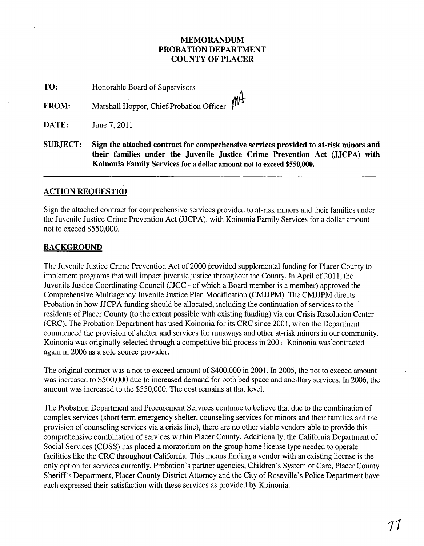# MEMORANDUM PROBATION DEPARTMENT COUNTY OF PLACER

TO: Honorable Board of Supervisors

FROM: Marshall Hopper, Chief Probation Officer

**DATE:** June 7, 2011

SUBJECT: Sign the attached contract for comprehensive services provided to at-risk minors and their families under the Juvenile Justice Crime Prevention Act (JJCPA) with Koinonia Family Services for a dollar amount not to exceed \$550,000.

# ACTION REQUESTED

Sign the attached contract for comprehensive services provided to at-risk minors and their families under the Juvenile Justice Crime Prevention Act (JJCPA), with Koinonia Family Services for a dollar amount not to exceed \$550,000.

# **BACKGROUND**

The Juvenile Justice Crime Prevention Act of 2000 provided supplemental funding for Placer County to implement programs that will impact juvenile justice throughout the County. In April of 2011, the Juvenile Justice Coordinating Council (JJCC - of which a Board member is a member) approved the Comprehensive Multiagency Juvenile Justice Plan Modification (CMJJPM). The CMJJPM directs Probation in how JJCPA funding should be allocated, including the continuation of services to the residents of Placer County (to the extent possible with existing funding) via our Crisis Resolution Center (CRC). The Probation Department has used Koinonia for its CRC since 2001, when the Department commenced the provision of shelter and services for runaways and other at-risk minors in our community. Koinonia was originally selected through a competitive bid process in 2001. Koinonia was contracted again in 2006 as a sole source provider.

The original contract was a not to exceed amount of \$400,000 in 2001. In 2005, the not to exceed amount was increased to \$500,000 due to increased demand for both bed space and ancillary services. In 2006, the amount was increased to the \$550,000. The cost remains at that level.

The Probation Department and Procurement Services continue to believe that due to the combination of complex services (short term emergency shelter, counseling services for minors and their families and the provision of counseling services via a crisis line), there are no other viable vendors able to provide this comprehensive combination of services within Placer County. Additionally, the California Department of Social Services (CDSS) has placed a moratorium on the group home license type needed to operate facilities like the CRC throughout California. This means finding a vendor with an existing license is the only option for services currently. Probation's partner agencies, Children's System of Care, Placer County Sheriff's Department, Placer County District Attorney and the City of Roseville's Police Department have each expressed their satisfaction with these services as provided by Koinonia.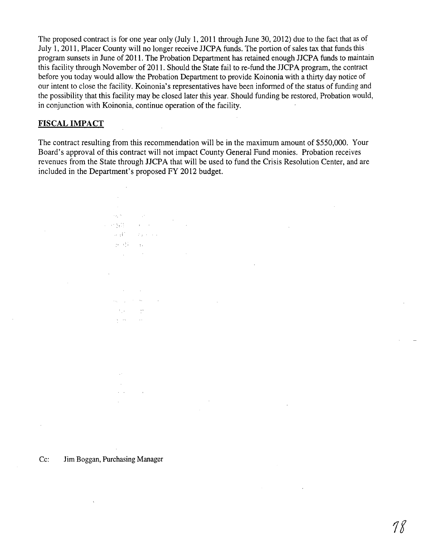The proposed contract is for one year only (July 1,2011 through June 30, 2012) due to the fact that as of July 1,2011, Placer County will no longer receive JJCPA funds. The portion of sales tax that funds this program sunsets in June of 2011. The Probation Department has retained enough JJCPA funds to maintain this facility through November of 2011. Should the State fail to re-fund the JJCPA program, the contract before you today would allow the Probation Department to provide Koinonia with a thirty day notice of our intent to close the facility. Koinonia's representatives have been informed of the status of funding and the possibility that this facility may be closed later this year. Should funding be restored, Probation would, in conjunction with Koinonia, continue operation of the facility.

# **FISCAL IMPACT**

The contract resulting from this recommendation will be in the maximum amount of \$550,000. Your Board's approval of this contract will not impact County General Fund monies. Probation receives revenues from the State through JJCPA that will be used to fund the Crisis Resolution Center, and are included in the Department's proposed FY 2012 budget.

 $\sim 10$ 

 $\mathcal{L}_{\mathcal{F}_1}(\mathcal{H})$ 

 $\sim 10^7$ 

医肝髓鞘 医甲氧化物 Seattle State Com  $39.057 - 31.0$  $\mathcal{L}_{\text{max}}$  and  $\mathcal{L}_{\text{max}}$ 

> **Contract Contract** and the state of the state of  $\mathcal{A}^{\text{max}}_{\text{max}}$  and  $\mathcal{A}^{\text{max}}_{\text{max}}$  $\Delta$  , we have  $\Delta$

Cc: Jim Boggan, Purchasing Manager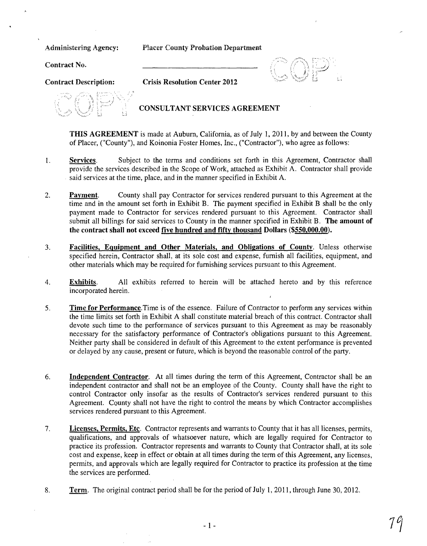Administering Agency: Placer County Probation Department

Contract No.

Contract Description: Crisis Resolution Center 2012

# CONSULTANT SERVICES AGREEMENT

THIS AGREEMENT is made at Auburn, California, as of July 1,2011, by and between the County of Placer, ("County"), and Koinonia Foster Homes, Inc., ("Contractor"), who agree as follows:

" j.---"" :1 :'

- 1. Services. Subject to the terms and conditions set forth in this Agreement, Contractor shall provide the services described in the Scope of Work, attached as Exhibit A. Contractor shall provide said services at the time, place, and in the manner specified in Exhibit A.
- 2. Payment. County shall pay Contractor for services rendered pursuant to this Agreement at the time and in the amount set forth in Exhibit B. The payment specified in Exhibit B shall be the only payment made to Contractor for services rendered pursuant to this Agreement. Contractor shall submit all billings for said services to County in the manner specified in Exhibit B. The amount of the contract shall not exceed five hundred and fifty thousand Dollars (\$550,000.00).
- 3. Facilities, Equipment and Other Materials, and Obligations of County. Unless otherwise specified herein, Contractor shall, at its sole cost and expense, furnish all facilities, equipment, and other materials which may be required for furnishing services pursuant to this Agreement.
- 4. Exhibits. All exhibits referred to herein will be attached hereto and by this reference incorporated herein.
- 5. Time for Performance. Time is of the essence. Failure of Contractor to perform any services within the time limits set forth in Exhibit A shall constitute material breach of this contract. Contractor shall devote such time to the performance of services pursuant to this Agreement as may be reasonably necessary for the satisfactory performance of Contractor's obligations pursuant to this Agreement. Neither party shall be considered in default of this Agreement to the extent performance is prevented or delayed by any cause, present or future, which is beyond the reasonable control of the party.
- 6. Independent Contractor. At all times during the term of this Agreement, Contractor shall be an independent contractor and shall not be an employee of the County. County shall have the right to control Contractor only insofar as the results of Contractor's services rendered pursuant to this Agreement. County shall not have the right to control the means by which Contractor accomplishes services rendered pursuant to this Agreement.
- 7. Licenses, Permits, Etc. Contractor represents and warrants to County that it has all licenses, permits, qualifications, and approvals of whatsoever nature, which are legally required for Contractor to practice its profession. Contractor represents and warrants to County that Contractor shall, at its sole cost and expense, keep in effect or obtain at all times during the term of this Agreement, any licenses, permits, and approvals which are legally required for Contractor to practice its profession at the time the services are performed.
- 8. Term. The original contract period shall be for the period of July 1, 2011, through June 30, 2012.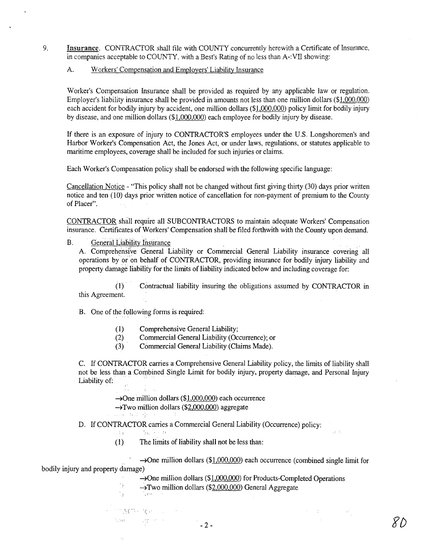9. Insurance. CONTRACTOR shall file with COUNTY concurrently herewith a Certificate of Insurance, in companies acceptable to COUNTY, with a Best's Rating of no less than A-:VII showing:

## A. Workers' Compensation and Employers' Liability Insurance

Worker's Compensation Insurance shall be provided as required by any applicable law or regulation. Employer's liability insurance shall be provided in amounts not less than one million dollars (\$1,000.000) each accident for bodily injury by accident, one million dollars (\$1,000,000) policy limit for bodily injury by disease, and one million dollars (\$1,000.000) each employee for bodily injury by disease.

If there is an exposure of injury to CONTRACTOR'S employees under the U.S. Longshoremen's and Harbor Worker's Compensation Act, the Jones Act, or under laws, regulations, or statutes applicable to maritime employees, coverage shall be included for such injuries or claims.

Each Worker's Compensation policy sha1l be endorsed with the fo1lowing specific language:

Cancellation Notice - "This policy shall not be changed without first giving thirty (30) days prior written notice and ten (10) days prior written notice of cancellation for non-payment of premium to the County of Placer".

CONTRACTOR shal! require all SUBCONTRACTORS to maintain adequate Workers' Compensation insurance. Certificates of Workers' Compensation shall be filed forthwith with the County upon demand.

B. General Liability Insurance

A. Comprehensive General Liability or Commercial General Liability insurance covering all operations by or'on behalf of CONTRACTOR, providing insurance for bodily injury liability and property damage liability for the limits of liability indicated below and including coverage for:

(1) . Contractual liability insuring the obligations assumed by CONTRACTOR in this Agreement.

B. One of the following forms is required:

- (1) Comprehensive General Liability;
- (2) Commercial General Liability (Occurrence); or
- (3) Commercial General Liability (Claims Made).

C. If CONTRACTOR carries a Comprehensive General Liability policy, the limits of liability shall not be less than a Combined Single Limit for bodily injury, property damage, and Personal Injury Liability of:

> $\rightarrow$ One million dollars (\$1,000,000) each occurrence →Two million dollars (\$2,000,000) aggregate

**WERE TRULES** 

D. If CONTRACTOR carries a Commercial General Liability (Occurrence) policy:

. Pp.

ेहत्त्वम

 $\mathbb{E}[\mathcal{A}\,\Omega_{\mathcal{A}}] \leq \mathbb{E}[\mathcal{A}^{\mathcal{A}}_{\mathcal{A}}] \leq \mathbb{E}[\mathcal{A}^{\mathcal{A}}_{\mathcal{A}}] \leq \mathbb{E}[\mathcal{A}^{\mathcal{A}}_{\mathcal{A}}]$ 

Ò) Ň,

 $\rightarrow$   $_{2}$ 

(1) The limits of liability shall not be less than:

 $\rightarrow$ One million dollars (\$1,000,000) each occurrence (combined single limit for bodily injury and property damage)

> $\rightarrow$ One million dollars (\$1,000,000) for Products-Completed Operations  $\rightarrow$ Two million dollars (\$2,000,000) General Aggregate

... :.' -,-. :(:'

is A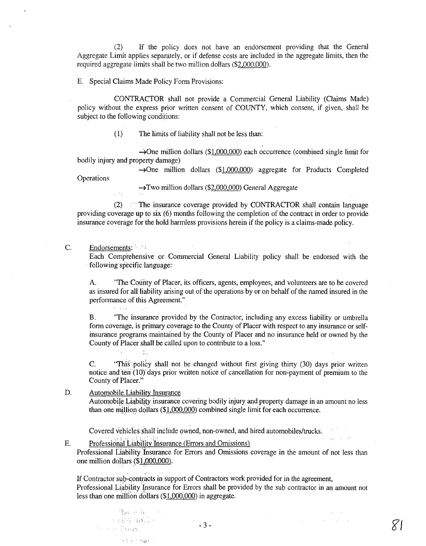(2) If the policy does not have an endorsement providing that the General Aggregate Limit applies separately, or if defense costs are included in the aggregate limits, then the required aggregate limits shall be two million dollars (\$2,000,000).

E. Special Claims Made Policy Form Provisions:

CONTRACTOR shall not provide a Commercial General Liability (Claims Made) policy without the express prior written consent of COUNTY, which consent, if given, shall be subject to the following conditions:

(1) The limits of liability shall not be less than:

 $\rightarrow$ One million dollars (\$1,000,000) each occurrence (combined single limit for bodily injury and property damage)

 $\rightarrow$ One million dollars (\$1,000,000) aggregate for Products Completed **Operations** 

 $\rightarrow$ Two million dollars (\$2,000,000) General Aggregate

(2)  $\blacksquare$  The insurance coverage provided by CONTRACTOR shall contain language providing coverage up to six (6) months following the completion of the contract in order to provide insurance coverage for the hold harmless provisions herein if the policy is a claims-made policy.

C. Endorsements:

 $\sim$  1.4%

 $\mathcal{F}_{\mathbf{q},\mathbf{r}}$ 

 $\langle l_{\rm{tot}} \rangle$ 

Each Comprehensive or Commercial General Liability policy shall be endorsed with the following specific language:

A. "The County of Placer, its officers, agents, employees, and volunteers are to be covered as insured for all liability arising out of the operations by or on behalf of the named insured in the performance of this Agreement."

B. "The insurance provided by the Contractor, including any excess liability or umbrella form coverage, is primary coverage to the County of Placer with respect to any insurance or selfinsurance programs, maintained by the County of Placer and no insurance held or owned by the County of Placer shall be called upon to contribute to a loss."

C. "This policy shall not be changed without first giving thirty (30) days prior written notice and ten (10) days prior written notice of cancellation for non-payment of premium to the County of Placer."

D. Automobile Liability Insurance Automobile Liability insurance covering bodily injury and property damage in an amount no less than one million dollars  $(\$1,000,000)$  combined single limit for each occurrence.

Covered vehicles 'shall include owned, non-owned, and hired automobiles/trucks.

E. Professional Liability Insurance (Errors and Omissions)

Professional Liability'Insurance for Errors and Omissions coverage in the amount of not less than one million dollars  $($1,000,000)$ .

If Contractor sub-contracts in support of Contractors work provided for in the agreement, Professional Liability Insurance for Errors shall be provided by the sub contractor in an amount not less than one million dollars (\$1 ,000,000) in aggregate.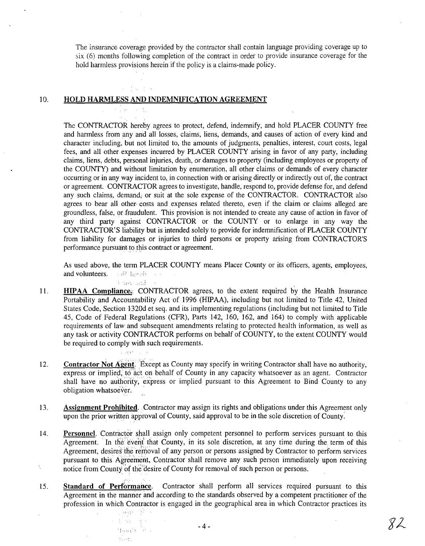The insurance coverage provided by the contractor shall contain language providing coverage up to six (6) months following completion of the contract in order to provide insurance coverage for the hold harmless provisions herein if the policy is a claims-made policy.

## 10. HOLD HARMLESS AND INDEMNIFICATION AGREEMENT

 $\sim$   $\mu$  v,  $\sim$   $\sim$ 

a jugoslo.<br>Politika

 $\label{eq:4} \mathcal{L}=\frac{1}{2}\left[\left(\mathcal{L}\mathcal{L}\mathcal{L}\right)-\mathcal{L}\mathcal{L}\mathcal{L}\right] \mathcal{L}$ 

Haap <sup>A</sup>cto silay.

The CONTRACTOR hereby agrees to protect, defend, indemnify, and hold PLACER COUNTY free and harmless from any and all losses, claims, liens, demands, and causes of action of every kind and character including, but not limited to, the amounts of judgments, penalties, interest, court costs, legal fees, and all other expenses incurred by PLACER COUNTY arising in favor of any party, including claims, liens, debts, personal injuries, death, or damages to property (including employees or property of the COUNTY) and without limitation by enumeration, all other claims or demands of every character occurring or in any way incident to, in connection with or arising directly or indirectly out of, the contract or agreement. CONTRACTOR agrees to investigate, handle, respond to, provide defense for, and defend any such claims, demand, or suit at the sole expense of the CONTRACTOR. CONTRACTOR also agrees to bear all other costs and expenses related thereto, even if the claim or claims alleged are groundless, false, or fraudulent. This provision is not intended to create any cause of action in favor of any third party against CONTRACTOR or the COUNTY or to enlarge in any way the CONTRACTOR'S liability but is intended solely to provide for indemnification of PLACER COUNTY from liability for damages or injuries to third persons or property arising from CONTRACTOR'S performance pursuant to this contract or agreement.

As used above, the term PLACER COUNTY means Placer County or its officers, agents, employees, **and volunteers.**  $\rightarrow$ <sup>12</sup> height and

- 11. HIPAA Compliance;: CONTRACTOR agrees, to the extent required by the Health Insurance Portability and Accountability Act of 1996 (HIPAA), including but not limited to Title 42, United States Code, Section 1320d et seq. and its implementing regulations (including but not limited to Title 45, Code of Federal Regulations (CFR), Parts 142, 160, 162, and 164) to comply with applicable requirements of law and subsequent amendments relating to protected health information, as well as any task or activity CONTRACTOR performs on behalf of COUNTY, to the extent COUNTY would be required to comply with such requirements.
- 12. Contractor Not Agent. Except as County may specify in writing Contractor shall have no authority, express or implied, to act on behalf of County in any capacity whatsoever as an agent. Contractor shall have no authority, express or implied pursuant to this Agreement to Bind County to any obligation whatsoever.  $\mathbb{R}^2$
- 13. Assignment Prohibited. Contractor may assign its rights and obligations under this Agreement only upon the prior written approval of County, said approval to be in the sole discretion of County:
- 14. Personnel. Contractor shall assign only competent personnel to perform services pursuant to this Agreement. In the event that County, in its sole discretion, at any time during the term of this Agreement, desires the removal of any person or persons assigned by Contractor to perform services pursuant to this Agreement, Contractor shall remove any such person immediately upon receiving ţ, notice from County of the desire of County for removal of such person or persons.
- . -'. ~. '. 15. Standard of Performance. Contractor shall perform all services required pursuant to this Agreement in the manner and according to the standards observed by a competent practitioner of the profession in which Contractor is engaged in the geographical area in which Contractor practices its 小海 第一

82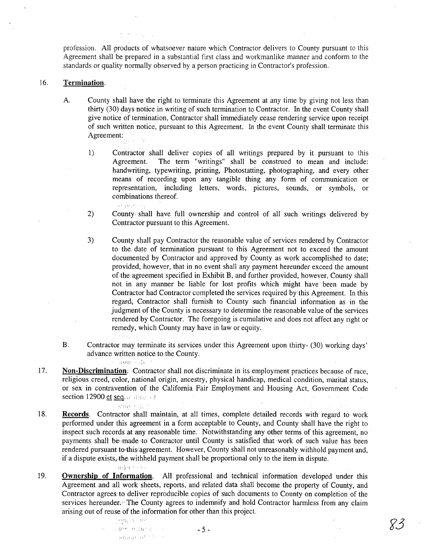profession. All products of whatsoever nature which Contractor delivers to County pursuant to this Agreement shall be prepared in a substantial first class and workmanlike manner and conform to the standards or quality normally observed by a person practicing in Contractor's profession.

## 16. Termination.

the same sur-

A. County shall have the right to terminate this Agreement at any time by giving not less than thirty (30) days notice in writing of such termination to Contractor. In the event County shall give notice of termination, Contractor shall immediately cease rendering service upon receipt of such written notice, pursuant to this Agreement. In the event County shall terminate this Agreement:

1) Contractor shall deliver copies of all writings prepared by it pursuant to this Agreement. The term "writings" shall be construed to mean and include: handwriting, typewriting, printing, Photostatting, photographing, and every other means of recording upon any tangible thing any form of communication or representation, including letters, words, pictures, sounds, or symbols, or combinations thereof.

2) County shall have full ownership and control of all such writings delivered by Contractor pursuant to this Agreement.

3) County shall pay Contractor the reasonable value of services rendered by Contractor to the date of termination pursuant to this Agreement not to exceed the amount documented by Contractor and approved by County as work accomplished to date; provided, however, that in no event shall any payment hereunder exceed the amount of, the agreement specified in Exhibit B, and further provided, however, County shall not in any manner be liable for lost profits which might have been made by Contractor had Contractor completed the services required by this Agreement. In this regard, Contractor shall furnish to County such financial information as in the judgment of the County is necessary to determine the reasonable value of the services rendered by Contractor. The foregoing is cumulative and does not affect any right or remedy, which County may have in law or equity.

- B. Contractor may terminate its services under this Agreement upon thirty- (30) working days' advance written notice to the County.
- 17. Non-Discrimination: Contractor shall not discriminate in its employment practices because of race, religious creed, color, national origin, ancestry, physical handicap, medical condition, marital status, or sex in contravention of the California Fair Employment and Housing Act, Government Code section 12900 et seq. a state of

nean kilo

and only

- 18. Records. Contractor shall maintain, at all times, complete detailed records with regard to work performed under this agreement in a form acceptable to County, and County shall have the right to inspect such records at any reasonable time. Notwithstanding any other terms of this agreement, no payments shall be made to Contractor until County is satisfied that work of such value has been rendered pursuant to:this agreement. However, County shall not unreasonably withhold payment and, if a dispute exists, the withheld payment shall be proportional only to the item in dispute. ader to by
- 19. Ownership of Information. All professional and technical information developed under this Agreement and all work sheets, reports, and related data shall become the property of County, and Contractor agrees to deliver reproducible copies of such documents to County on completion of the services hereunder. The County agrees to indemnify and hold Contractor harmless from any claim arising out of reuse of the information for other than this project.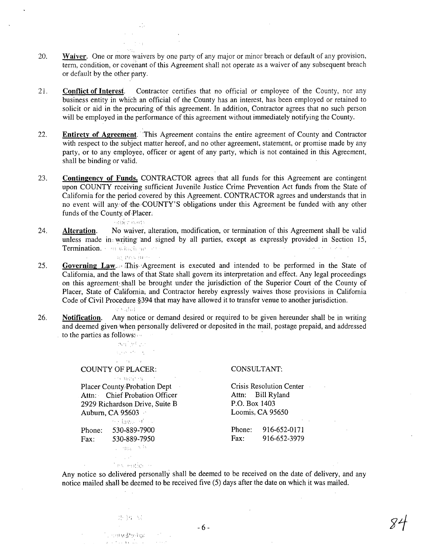- 20. Waiver. One or more waivers by one party of any major or minor breach or default of any provision, term, condition, or covenant of this Agreement shall not operate as a waiver of any subsequent breach or default by the other party. .
- 21. Conflict of Interest. Contractor certifies that no official or employee of the County, nor any business entity in which an official of the County has an interest, has been employed or retained to solicit or aid in the procuring of this agreement. In addition, Contractor agrees that no such person will be employed in the performance of this agreement without immediately notifying the County.
- 22. Entirety of Agreement. This Agreement contains the entire agreement of County and Contractor with respect to the subject matter hereof, and no other agreement, statement, or promise made by any party, or to any employee, officer or agent of any party, which is not contained in this Agreement, shall be binding or valid.
- 23. Contingency of Funds. CONTRACTOR agrees that all funds for this Agreement are contingent upon COUNTY receiving sufficient Juvenile Justice Crime Prevention Act funds from the State of California for the period covered by this Agreement. CONTRACTOR agrees and understands that in no event will any of the COUNTY'S obligations under this Agreement be funded with any other funds of the County of.Placer;

 $\sim$  and  $\sim$  'nearly

ist s

- 24. Alteration. No waiver, alteration, modification, or termination of this Agreement shall be valid unless made in writing and signed by all parties, except as expressly provided in Section 15,<br>Termination **Termination.** " " which my ...".
	-
- 25. Governing Law. This Agreement is executed and intended to be performed in the State of California, and the laws of that State shall govern its interpretation and effect. Any legal proceedings on this agreement':shall be brought under the jurisdiction of the Superior Court of the County of Placer, State of California, and Contractor hereby expressly waives those provisions in California Code of Civil Procedure§394 that may have allowed it to transfer venue to another jurisdiction.
	- an sulad
- 26. Notification. Any notice or demand desired or required to be given hereunder shall be in writing and deemed given when personally delivered or deposited in the mail, postage prepaid, and addressed to the parties as follows:

Antibition الهادا فلأستحيث  $\mathcal{A}^{\text{max}}$  and  $\mathcal{A}^{\text{max}}$ 

COUNTY OF PLACER:

and writing and Placer County Probation Dept Attn: Chief Probation Officer 2929 Richardson Drive, Suite B Auburn, CA 95603

Services of all Phone: 530-889-7900 Fax: 530-889-7950 a mayokit

> $\epsilon = 1.42$ Text engine in

### CONSULTANT:

Crisis Resolution Center Attn: Bill Ryland P.O. Box 1403 Loomis, CA 95650

Phone: 916-652-0171 Fax: 916-652-3979

Any notice so delivered personally shall be deemed to be received on the date of delivery, and any notice mailed shall be deemed to be received five (5) days after the date on which it was mailed.

- 6 -

aphyllophy in  $\mathbf{r} \in \mathcal{X} \mathcal{X}$  , and

 $\sim$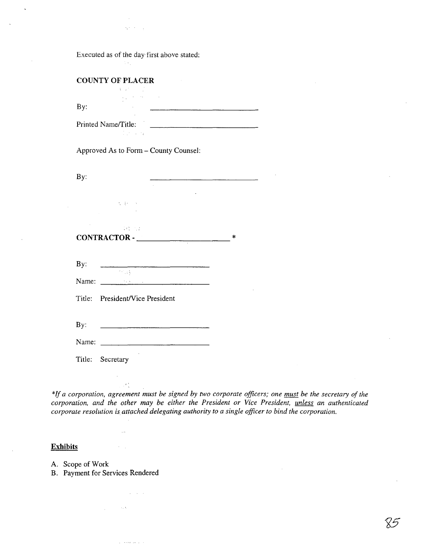$\sigma_{\rm eff} \sim 100$ 

Executed as of the day first above stated:

 $\sim 100$ 

| <b>Share</b>        |  |
|---------------------|--|
| By:                 |  |
| Printed Name/Title: |  |

Approved As to Form - County Counsel:

| By:                               |                                                                                              |   |
|-----------------------------------|----------------------------------------------------------------------------------------------|---|
|                                   | (大) 家の (人)<br><b>Contract Contract</b>                                                       |   |
| 24 万元<br>CONTRACTOR - ___________ |                                                                                              | * |
| By:                               |                                                                                              |   |
| Name:                             | $\mathcal{F}(\mathcal{C})$ , $\mathcal{C}(\mathcal{C})$<br>and the state of the state of the |   |
|                                   | Title: President/Vice President                                                              |   |
|                                   |                                                                                              |   |
| By:                               |                                                                                              |   |
| Name:                             |                                                                                              |   |

Title: Secretary

 $\mathcal{F}^{\lambda}_{\lambda}$ 

 $\alpha=1$ 

 $\sim 100$ 

 $\omega_{\rm c} = 8.8$  for  $\omega_{\rm c}$ 

 $\sim 10^7$  km s  $^{-1}$ 

\*If *a corporation, agreement must be signed by two corporate officers; one must be the secretary of the corporation, and the other may be either the President or Vice President, unless an authenticated corporate resolution is attached delegating authority to a single officer to bind the corporation.* 

# **Exhibits**

A. Scope of Work

B. Payment for Services Rendered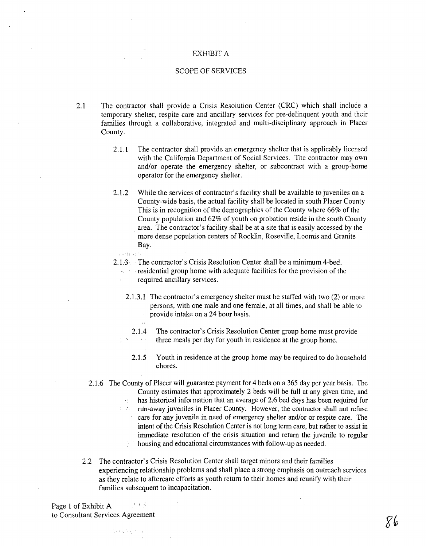## EXHIBIT A

## SCOPE OF SERVICES

- 2.1 The contractor shall provide a Crisis Resolution Center (CRC) which shall include a temporary shelter, respite care and ancillary services for pre-delinquent youth and their families through a collaborative, integrated and multi-disciplinary approach in Placer County.
	- 2.1.1 The contractor shall provide an emergency shelter that is applicably licensed with the California Department of Social Services. The contractor may own and/or operate the emergency shelter, or subcontract with a group-home operator for the emergency shelter.
	- 2.1.2 While the services of contractor's facility shall be available to juveniles on a County-wide basis, the actual facility shall be located in south Placer County This is in recognition of the demographics of the County where 66% of the County population and 62% of youth on probation reside in the south County . area. The contractor's facility shall be at a site that is easily accessed by the more dense population centers of Rocklin, Roseville, Loomis and Granite Bay.
	- and of a series

 $\sim$   $\sim$ 

- 2.1.3· . The contractor's Crisis Resolution Center shall be a minimum 4-bed, residential group home with adequate facilities for the provision of the required ancillary services.
	- 2.1.3.1 The contractor's emergency shelter must be staffed with two (2) or more persons, with one male and one female, at all times, and shall be able to provide intake on a 24 hour basis.

2.1.4 The contractor's Crisis Resolution Center group home must provide three meals per day for youth in residence at the group home;  $\sim 8.8$  .

- 2.1.5 Youth in residence at the group home may be required to do household chores.
- 2.1.6 The County of Placer will guarantee payment for 4 beds on a 365 day per year basis. The County estimates that approximately 2 beds will be full at any given time, and has historical information that an average of 2.6 bed days has been required for  $\bar{\nu}_1$  ,  $\bar{\nu}_2$ nin-away juveniles in Placer County. However, the contractor shall not refuse  $1 - 2\sqrt{2}$ care for any juvenile in need of emergency shelter and/or or respite care. The intent of the Crisis Resolution Center is not long term care, but rather to assist in immediate resolution of the crisis situation and return the juvenile to regular housing and educational circumstances with follow-up as needed.  $\mathbb{R}^{n+1}$
- 2.2 The contractor's Crisis Resolution Center shall target minors and their families experiencing relationship problems and shall place a strong emphasis on outreach services as they relate to aftercare efforts as youth return to their homes and reunify with their families subsequent to incapacitation.

大手で Page 1 of Exhibit A to Consultant Services Agreement

lending to b

86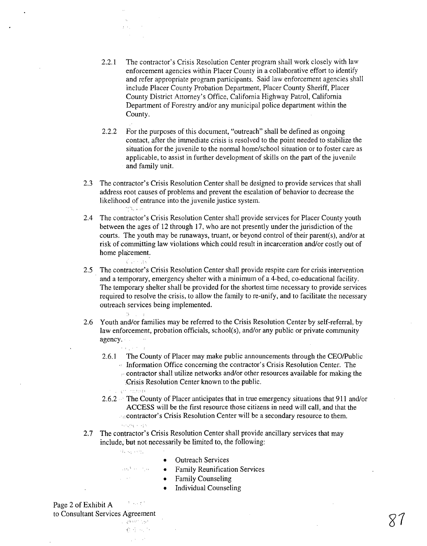2.2.1 The contractor's Crisis Resolution Center program shall work closely with law enforcement agencies within Placer County in a collaborative effort to identify and refer appropriate program participants. Said law enforcement agencies shall include Placer County Probation Department, Placer County Sheriff, Placer County District Attorney's Office, California Highway Patrol, California Department of Forestry and/or any municipal police department within the County.

2.2.2 For the purposes of this document, "outreach" shall be defined as ongoing contact, after the immediate crisis is resolved to the point needed to stabilize the situation for the juvenile to the normal home/school situation or to foster care as applicable, to assist in further development of skills on the part of the juvenile and family unit.

- 2.3 The contractor's Crisis Resolution Center shall be designed to provide services that shall address root causes of problems and prevent the escalation of behavior to decrease the likelihood of entrance into the juvenile justice system. mt, Ly
- 2.4 The contractor's Crisis Resolution Center shall provide services for Placer County youth between the ages of 12 through 17, who are not presently under the jurisdiction of the courts. The youth may be runaways, truant, or beyond control of their parent(s), and/or at risk of committing law violations which could result in incarceration and/or costly out of home placement.
- 2.5 The contractor's Crisis Resolution Center shall provide respite care for crisis intervention and a temporary, emergency shelter with a minimum of a 4-bed, co-educational facility. The temporary shelter shall be provided for the shortest time necessary to provide services required to resolve the crisis, to allow the family to re-unify, and to facilitate the necessary outreach services being implemented.
- 2.6 Youth and/or families may be referred to the Crisis Resolution Center by self-referral, by law enforcement, probation officials, school(s), and/or any public or private community agency.
	- 2.6.1 The County of Placer may make public announcements through the CEO/Public Information Office concerning the contractor's Crisis Resolution Center. The  $\therefore$  contractor shall utilize networks and/or other resources available for making the
		- :Crisis Resolution Center known to the public.
	- 2.6.2 . The County of Placer anticipates that in true emergency situations that 911 and/or ACCESS will be the first resource those citizens in need will call, and that the  $\sim$  contractor's Crisis Resolution Center will be a secondary resource to them.  $\lambda$  ,  $\lambda$  ,  $\lambda$  ,  $\lambda$  ,  $\lambda$  ,  $\lambda$
- 2.7 The contractor's Crisis Resolution Center shall provide ancillary services that may include, but not necessarily be limited to, the following:
	- Hang High

September 2014  $\frac{1}{2}$  ,  $\frac{1}{2}$  ,  $\frac{1}{2}$  ,  $\frac{1}{2}$ 

**Contain** 

 $\mathcal{L}$  $\alpha = \alpha$  .

 $\langle \hat{C}_1, \hat{C}_2, \dots, \hat{C}_n \rangle$ 

**College** 

- Outreach Services
- Family Reunification Services
- Family Counseling
- Individual Counseling

 $\mathcal{F} \sim \mathcal{F} \mathcal{F}$ Page 2 of Exhibit A to Consultant Services Agreement in geomorph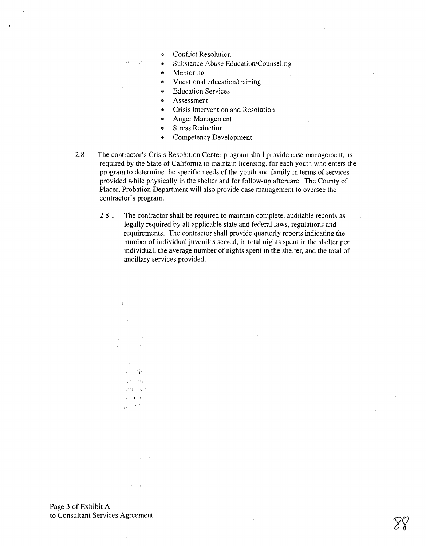- **Conflict Resolution**
- Substance Abuse Education/Counseling
- **Mentoring**

 $\sim$   $\sim$ 

- V ocational education/training
- **Education Services**
- Assessment
- Crisis Intervention and Resolution
- Anger Management
- **Stress Reduction**
- Competency Development
- 2.8 The contractor's Crisis Resolution Center program shall provide case management, as required by the State of California to maintain licensing, for each youth who enters the program to determine the specific needs of the youth and family in terms of services provided while physically in the shelter and for follow-up aftercare. The County of Placer, Probation Department will also provide case management to oversee the contractor's program.
	- 2.8.1 The contractor shall be required to maintain complete, auditable records as legally required by all applicable state and federal laws, regulations and requirements. The contractor shall provide quarterly reports indicating the number of individual juveniles served, in total nights spent in the shelter per individual, the average number of nights spent in the shelter, and the total of ancillary services provided.

Page 3 of Exhibit A to Consultant Services Agreement

. i,,':

aand be  $\Omega$  -  $\Omega$  and  $_{\rm H}$  :  $T^{\mu}$  .

成分の **No. 当初以** 

 $\epsilon_{\rm eff}$  .

 $\sim$   $\sim$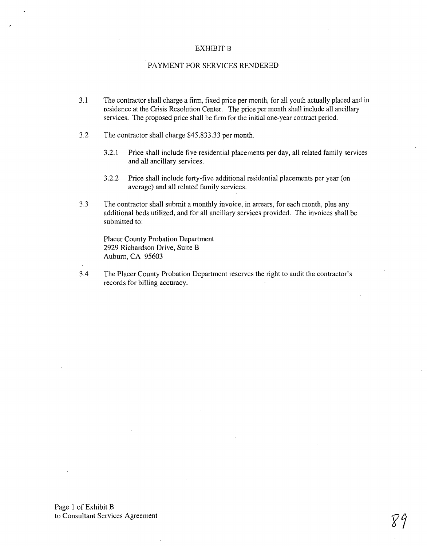## EXHIBIT B

## PAYMENT FOR SERVICES RENDERED

- 3.1 The contractor shall charge a firm, fixed price per month, for all youth actually placed and in residence at the Crisis Resolution Center. The price per month shall include all ancillary services. The proposed price shall be firm for the initial one-year contract period.
- 3.2 The contractor shall charge \$45,833.33 per month.
	- 3.2.1 Price shall include five residential placements per day, all related family services and all ancillary services.
	- 3.2.2 Price shall include forty-five additional residential placements per year (on average) and all related family services.
- 3.3 The contractor shall submit a monthly invoice, in arrears, for each month, plus any additional beds utilized, and for all ancillary services provided. The invoices shall be submitted to:

Placer County Probation Department 2929 Richardson Drive, Suite B Auburn, CA 95603

3.4 The Placer County Probation Department reserves the right to audit the contractor's records for billing accuracy.